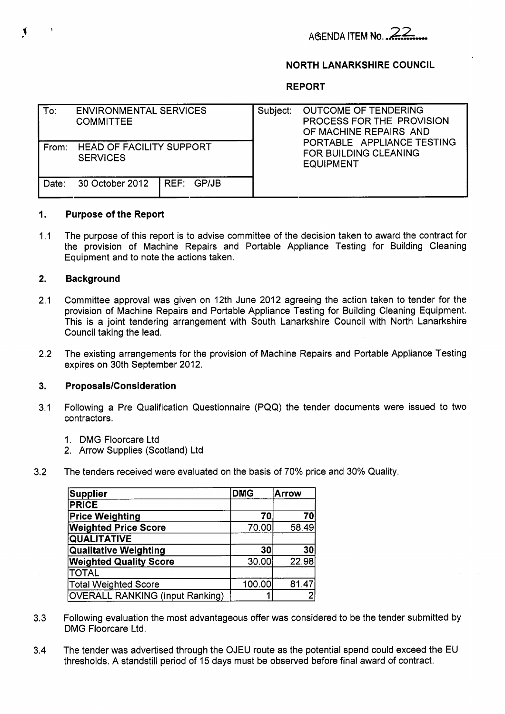# ABENDA **ITEM NO.** *..z* .&-.

# **NORTH LANARKSHIRE COUNCIL**

**REPORT** 

| To:   | <b>ENVIRONMENTAL SERVICES</b><br><b>COMMITTEE</b>  | Subject: | <b>OUTCOME OF TENDERING</b><br>PROCESS FOR THE PROVISION<br>OF MACHINE REPAIRS AND<br>PORTABLE APPLIANCE TESTING<br>FOR BUILDING CLEANING<br><b>EQUIPMENT</b> |
|-------|----------------------------------------------------|----------|---------------------------------------------------------------------------------------------------------------------------------------------------------------|
| From: | <b>HEAD OF FACILITY SUPPORT</b><br><b>SERVICES</b> |          |                                                                                                                                                               |
| Date: | 30 October 2012   REF: GP/JB                       |          |                                                                                                                                                               |

#### **1. Purpose of the Report**

 $1.1$ The purpose of this report is to advise committee of the decision taken to award the contract for the provision of Machine Repairs and Portable Appliance Testing for Building Cleaning Equipment and to note the actions taken.

#### **2. Background**

- 2.1 Committee approval was given on 12th June 2012 agreeing the action taken to tender for the provision of Machine Repairs and Portable Appliance Testing for Building Cleaning Equipment. This is a joint tendering arrangement with South Lanarkshire Council with North Lanarkshire Council taking the lead.
- 2.2 The existing arrangements for the provision of Machine Repairs and Portable Appliance Testing expires on 30th September 2012.

#### **3. Proposals/Consideration**

- 3.1 Following a Pre Qualification Questionnaire (PQQ) the tender documents were issued to two contractors.
	- 1. DMG Floorcare Ltd
	- 2. Arrow Supplies (Scotland) Ltd
- 3.2 The tenders received were evaluated on the basis of 70% price and 30% Quality.

| Supplier                               | <b>DMG</b> | <b>Arrow</b> |
|----------------------------------------|------------|--------------|
| <b>PRICE</b>                           |            |              |
| <b>Price Weighting</b>                 | 70         | 70           |
| <b>Weighted Price Score</b>            | 70.00      | 58.49        |
| <b>QUALITATIVE</b>                     |            |              |
| <b>Qualitative Weighting</b>           | 30         | 30           |
| <b>Weighted Quality Score</b>          | 30.00      | 22.98        |
| <b>TOTAL</b>                           |            |              |
| <b>Total Weighted Score</b>            | 100.00     | 81.47        |
| <b>OVERALL RANKING (Input Ranking)</b> |            |              |

- 3.3 Following evaluation the most advantageous offer was considered to be the tender submitted by DMG Floorcare Ltd.
- 3.4 The tender was advertised through the OJEU route as the potential spend could exceed the EU thresholds. A standstill period of 15 days must be observed before final award of contract.